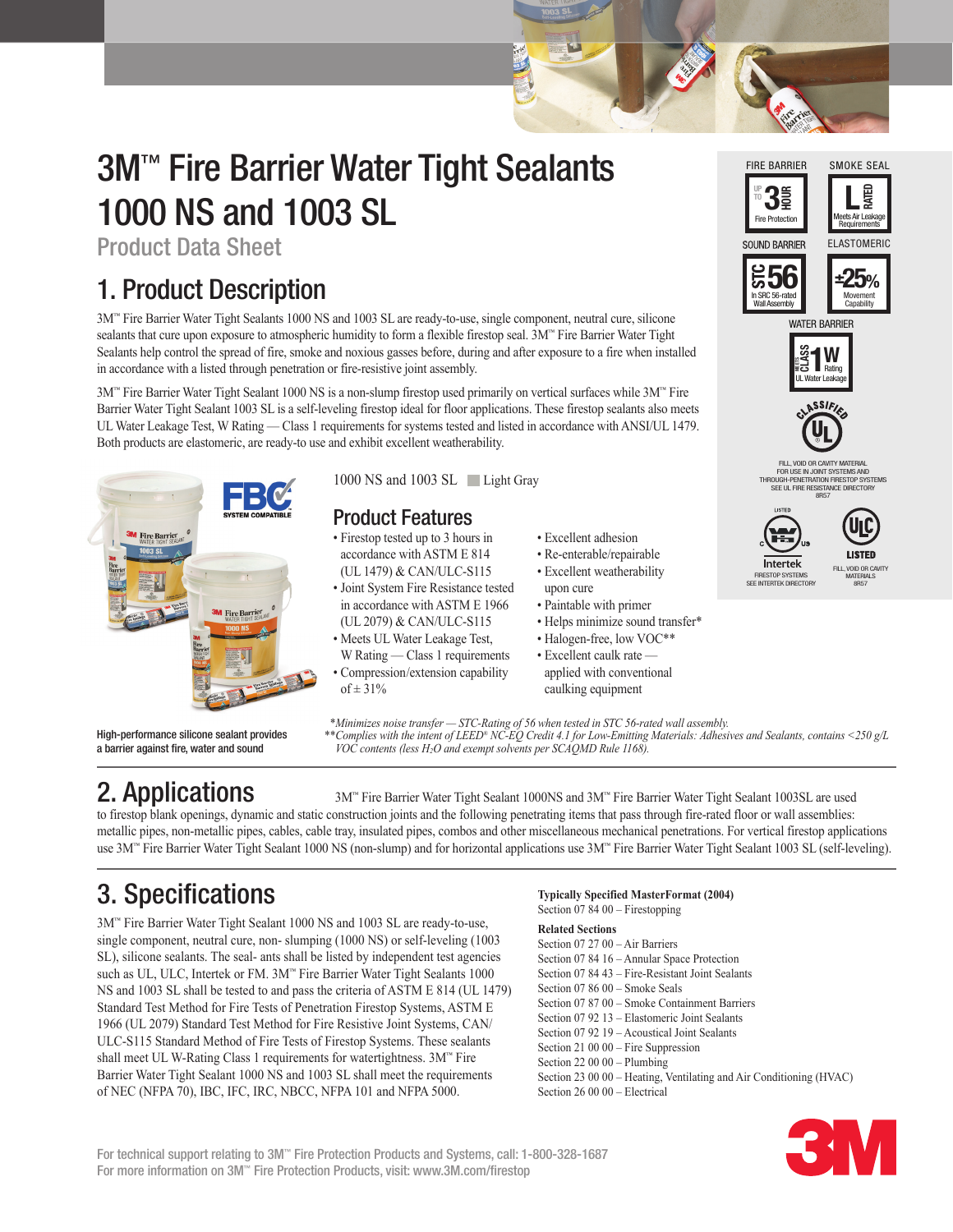# 3M™ Fire Barrier Water Tight Sealants 1000 NS and 1003 SL

Product Data Sheet

## 1. Product Description

3M™ Fire Barrier Water Tight Sealants 1000 NS and 1003 SL are ready-to-use, single component, neutral cure, silicone sealants that cure upon exposure to atmospheric humidity to form a flexible firestop seal. 3M™ Fire Barrier Water Tight Sealants help control the spread of fire, smoke and noxious gasses before, during and after exposure to a fire when installed in accordance with a listed through penetration or fire-resistive joint assembly.

3M™ Fire Barrier Water Tight Sealant 1000 NS is a non-slump firestop used primarily on vertical surfaces while 3M™ Fire Barrier Water Tight Sealant 1003 SL is a self-leveling firestop ideal for floor applications. These firestop sealants also meets UL Water Leakage Test, W Rating — Class 1 requirements for systems tested and listed in accordance with ANSI/UL 1479. Both products are elastomeric, are ready-to use and exhibit excellent weatherability.



High-performance silicone sealant provides a barrier against fire, water and sound

1000 NS and 1003 SL Light Gray

### Product Features

• Firestop tested up to 3 hours in accordance with ASTM E 814 (UL 1479) & CAN/ULC-S115 • Joint System Fire Resistance tested in accordance with ASTM E 1966 (UL 2079) & CAN/ULC-S115 • Meets UL Water Leakage Test,

W Rating — Class 1 requirements • Compression/extension capability of  $\pm 31\%$ 

- Excellent adhesion
- Re-enterable/repairable
- Excellent weatherability upon cure
- Paintable with primer
- Helps minimize sound transfer\*
- Halogen-free, low VOC\*\*
- Excellent caulk rate applied with conventional caulking equipment

UL Water Leakage Rating WATER BARRIER **MEETS CLASS 1W** Wall Assembly **±25%** Movement **Capability** 

500

SOLIND BARRIER

**UP TO** Fire Protection

FIRE BARRIER

 $3\frac{2}{5}$ 

FILL, VOID OR CAVITY MATER

LE<br>Meets Air Leakage **Requirements** 

ELASTOMERIC

**RATED**

SMOKE SEAL

FOR USE IN JOINT SYSTEMS AND THROUGH-PENETRATION FIRESTOP SYSTEMS SEE UL FIRE RESISTANCE DIRECTORY<br>SEE UL FIRE RESISTANCE DIRECTOR  $8857$ 



 *\*Minimizes noise transfer — STC-Rating of 56 when tested in STC 56-rated wall assembly. \*\*Complies with the intent of LEED® NC-EQ Credit 4.1 for Low-Emitting Materials: Adhesives and Sealants, contains <250 g/L VOC contents (less H2O and exempt solvents per SCAQMD Rule 1168).*

2. Applications 3M™ Fire Barrier Water Tight Sealant 1000NS and 3M™ Fire Barrier Water Tight Sealant 1003SL are used to firestop blank openings, dynamic and static construction joints and the following penetrating items that pass through fire-rated floor or wall assemblies: metallic pipes, non-metallic pipes, cables, cable tray, insulated pipes, combos and other miscellaneous mechanical penetrations. For vertical firestop applications use 3M™ Fire Barrier Water Tight Sealant 1000 NS (non-slump) and for horizontal applications use 3M™ Fire Barrier Water Tight Sealant 1003 SL (self-leveling).

## 3. Specifications

3M™ Fire Barrier Water Tight Sealant 1000 NS and 1003 SL are ready-to-use, single component, neutral cure, non- slumping (1000 NS) or self-leveling (1003 SL), silicone sealants. The seal- ants shall be listed by independent test agencies such as UL, ULC, Intertek or FM. 3M™ Fire Barrier Water Tight Sealants 1000 NS and 1003 SL shall be tested to and pass the criteria of ASTM E 814 (UL 1479) Standard Test Method for Fire Tests of Penetration Firestop Systems, ASTM E 1966 (UL 2079) Standard Test Method for Fire Resistive Joint Systems, CAN/ ULC-S115 Standard Method of Fire Tests of Firestop Systems. These sealants shall meet UL W-Rating Class 1 requirements for watertightness. 3M™ Fire Barrier Water Tight Sealant 1000 NS and 1003 SL shall meet the requirements of NEC (NFPA 70), IBC, IFC, IRC, NBCC, NFPA 101 and NFPA 5000.

#### **Typically Specified MasterFormat (2004)** Section 07 84 00 – Firestopping

#### **Related Sections**

Section 07 27 00 – Air Barriers Section 07 84 16 – Annular Space Protection Section 07 84 43 – Fire-Resistant Joint Sealants Section 07 86 00 – Smoke Seals Section 07 87 00 – Smoke Containment Barriers Section 07 92 13 – Elastomeric Joint Sealants Section 07 92 19 – Acoustical Joint Sealants Section 21 00 00 – Fire Suppression Section 22 00 00 – Plumbing Section 23 00 00 – Heating, Ventilating and Air Conditioning (HVAC) Section 26 00 00 – Electrical